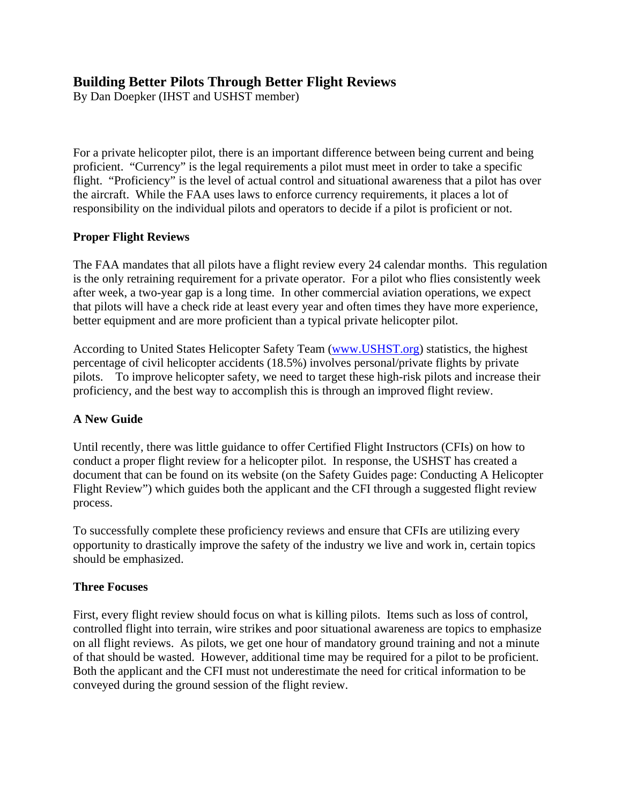# **Building Better Pilots Through Better Flight Reviews**

By Dan Doepker (IHST and USHST member)

For a private helicopter pilot, there is an important difference between being current and being proficient. "Currency" is the legal requirements a pilot must meet in order to take a specific flight. "Proficiency" is the level of actual control and situational awareness that a pilot has over the aircraft. While the FAA uses laws to enforce currency requirements, it places a lot of responsibility on the individual pilots and operators to decide if a pilot is proficient or not.

## **Proper Flight Reviews**

The FAA mandates that all pilots have a flight review every 24 calendar months. This regulation is the only retraining requirement for a private operator. For a pilot who flies consistently week after week, a two-year gap is a long time. In other commercial aviation operations, we expect that pilots will have a check ride at least every year and often times they have more experience, better equipment and are more proficient than a typical private helicopter pilot.

According to United States Helicopter Safety Team (www.USHST.org) statistics, the highest percentage of civil helicopter accidents (18.5%) involves personal/private flights by private pilots. To improve helicopter safety, we need to target these high-risk pilots and increase their proficiency, and the best way to accomplish this is through an improved flight review.

# **A New Guide**

Until recently, there was little guidance to offer Certified Flight Instructors (CFIs) on how to conduct a proper flight review for a helicopter pilot. In response, the USHST has created a document that can be found on its website (on the Safety Guides page: Conducting A Helicopter Flight Review") which guides both the applicant and the CFI through a suggested flight review process.

To successfully complete these proficiency reviews and ensure that CFIs are utilizing every opportunity to drastically improve the safety of the industry we live and work in, certain topics should be emphasized.

#### **Three Focuses**

First, every flight review should focus on what is killing pilots. Items such as loss of control, controlled flight into terrain, wire strikes and poor situational awareness are topics to emphasize on all flight reviews. As pilots, we get one hour of mandatory ground training and not a minute of that should be wasted. However, additional time may be required for a pilot to be proficient. Both the applicant and the CFI must not underestimate the need for critical information to be conveyed during the ground session of the flight review.